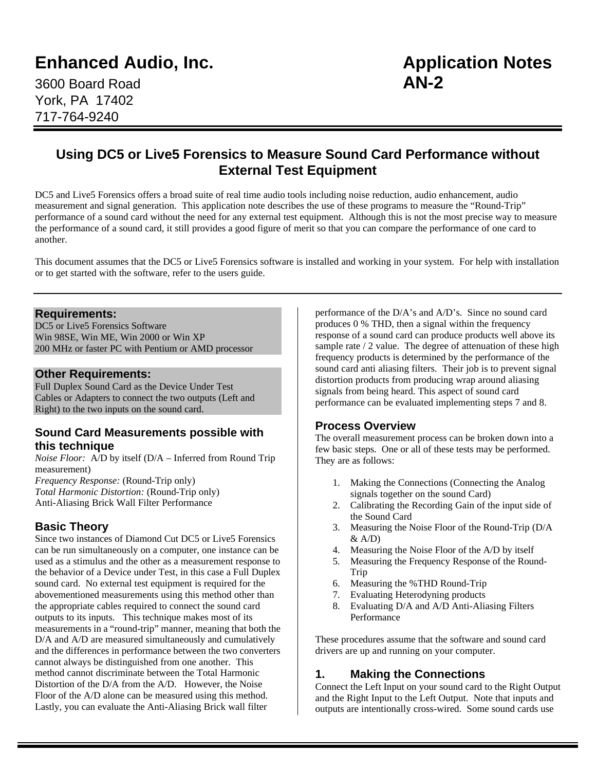# **Enhanced Audio, Inc. Application Notes**

3600 Board Road **AN-2** York, PA 17402 717-764-9240

# **Using DC5 or Live5 Forensics to Measure Sound Card Performance without External Test Equipment**

DC5 and Live5 Forensics offers a broad suite of real time audio tools including noise reduction, audio enhancement, audio measurement and signal generation. This application note describes the use of these programs to measure the "Round-Trip" performance of a sound card without the need for any external test equipment. Although this is not the most precise way to measure the performance of a sound card, it still provides a good figure of merit so that you can compare the performance of one card to another.

This document assumes that the DC5 or Live5 Forensics software is installed and working in your system. For help with installation or to get started with the software, refer to the users guide.

#### **Requirements:**

DC5 or Live5 Forensics Software Win 98SE, Win ME, Win 2000 or Win XP 200 MHz or faster PC with Pentium or AMD processor

#### **Other Requirements:**

Full Duplex Sound Card as the Device Under Test Cables or Adapters to connect the two outputs (Left and Right) to the two inputs on the sound card.

#### **Sound Card Measurements possible with this technique**

*Noise Floor:* A/D by itself (D/A – Inferred from Round Trip measurement)

*Frequency Response:* (Round-Trip only) *Total Harmonic Distortion:* (Round-Trip only) Anti-Aliasing Brick Wall Filter Performance

### **Basic Theory**

Since two instances of Diamond Cut DC5 or Live5 Forensics can be run simultaneously on a computer, one instance can be used as a stimulus and the other as a measurement response to the behavior of a Device under Test, in this case a Full Duplex sound card. No external test equipment is required for the abovementioned measurements using this method other than the appropriate cables required to connect the sound card outputs to its inputs. This technique makes most of its measurements in a "round-trip" manner, meaning that both the D/A and A/D are measured simultaneously and cumulatively and the differences in performance between the two converters cannot always be distinguished from one another. This method cannot discriminate between the Total Harmonic Distortion of the D/A from the A/D. However, the Noise Floor of the A/D alone can be measured using this method. Lastly, you can evaluate the Anti-Aliasing Brick wall filter

performance of the D/A's and A/D's. Since no sound card produces 0 % THD, then a signal within the frequency response of a sound card can produce products well above its sample rate / 2 value. The degree of attenuation of these high frequency products is determined by the performance of the sound card anti aliasing filters. Their job is to prevent signal distortion products from producing wrap around aliasing signals from being heard. This aspect of sound card performance can be evaluated implementing steps 7 and 8.

### **Process Overview**

The overall measurement process can be broken down into a few basic steps. One or all of these tests may be performed. They are as follows:

- 1. Making the Connections (Connecting the Analog signals together on the sound Card)
- 2. Calibrating the Recording Gain of the input side of the Sound Card
- 3. Measuring the Noise Floor of the Round-Trip (D/A  $&$  A/D)
- 4. Measuring the Noise Floor of the A/D by itself
- 5. Measuring the Frequency Response of the Round-Trip
- 6. Measuring the %THD Round-Trip
- 7. Evaluating Heterodyning products
- 8. Evaluating D/A and A/D Anti-Aliasing Filters Performance

These procedures assume that the software and sound card drivers are up and running on your computer.

### **1. Making the Connections**

Connect the Left Input on your sound card to the Right Output and the Right Input to the Left Output. Note that inputs and outputs are intentionally cross-wired. Some sound cards use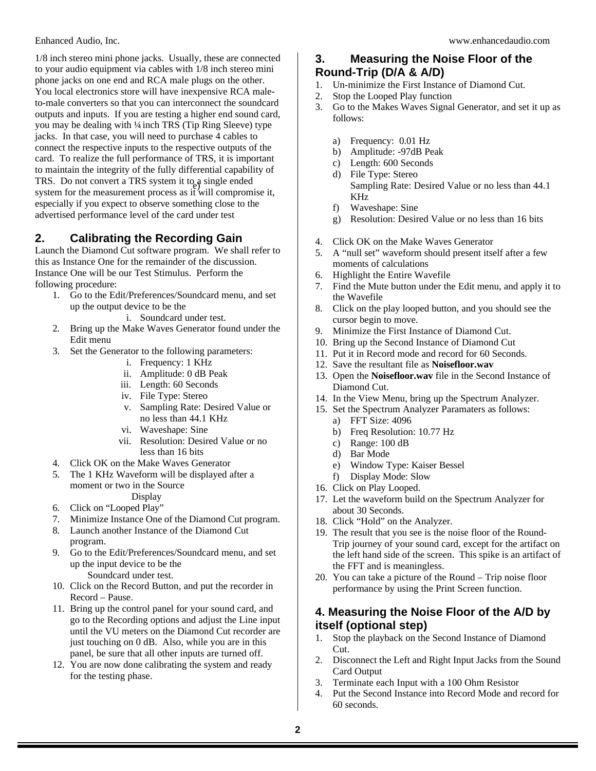1/8 inch stereo mini phone jacks. Usually, these are connected to your audio equipment via cables with 1/8 inch stereo mini phone jacks on one end and RCA male plugs on the other. You local electronics store will have inexpensive RCA maleto-male converters so that you can interconnect the soundcard outputs and inputs. If you are testing a higher end sound card, you may be dealing with ¼ inch TRS (Tip Ring Sleeve) type jacks. In that case, you will need to purchase 4 cables to connect the respective inputs to the respective outputs of the card. To realize the full performance of TRS, it is important to maintain the integrity of the fully differential capability of TRS. Do not convert a TRS system it to a single ended system for the measurement process as it will compromise it, especially if you expect to observe something close to the advertised performance level of the card under test

# **2. Calibrating the Recording Gain**

Launch the Diamond Cut software program. We shall refer to this as Instance One for the remainder of the discussion. Instance One will be our Test Stimulus. Perform the following procedure:

- 1. Go to the Edit/Preferences/Soundcard menu, and set up the output device to be the
	- i. Soundcard under test.
- 2. Bring up the Make Waves Generator found under the Edit menu
- 3. Set the Generator to the following parameters:
	- i. Frequency: 1 KHz
	- ii. Amplitude: 0 dB Peak
	- iii. Length: 60 Seconds
	- iv. File Type: Stereo
	- v. Sampling Rate: Desired Value or no less than 44.1 KHz
	- vi. Waveshape: Sine
	- vii. Resolution: Desired Value or no less than 16 bits
- 4. Click OK on the Make Waves Generator
- 5. The 1 KHz Waveform will be displayed after a moment or two in the Source
- Display 6. Click on "Looped Play"
- 7. Minimize Instance One of the Diamond Cut program.
- 8. Launch another Instance of the Diamond Cut
- program.
- 9. Go to the Edit/Preferences/Soundcard menu, and set up the input device to be the Soundcard under test.
- 10. Click on the Record Button, and put the recorder in
- Record Pause. 11. Bring up the control panel for your sound card, and go to the Recording options and adjust the Line input until the VU meters on the Diamond Cut recorder are just touching on 0 dB. Also, while you are in this panel, be sure that all other inputs are turned off.
- 12. You are now done calibrating the system and ready for the testing phase.

# **3. Measuring the Noise Floor of the Round-Trip (D/A & A/D)**

- 1. Un-minimize the First Instance of Diamond Cut.
- 2. Stop the Looped Play function
- 3. Go to the Makes Waves Signal Generator, and set it up as follows:
	- a) Frequency: 0.01 Hz
	- b) Amplitude: -97dB Peak
	- c) Length: 600 Seconds
	- d) File Type: Stereo Sampling Rate: Desired Value or no less than 44.1 KHz
	- f) Waveshape: Sine
	- g) Resolution: Desired Value or no less than 16 bits
- 4. Click OK on the Make Waves Generator
- 5. A "null set" waveform should present itself after a few moments of calculations
- 6. Highlight the Entire Wavefile
- 7. Find the Mute button under the Edit menu, and apply it to the Wavefile
- 8. Click on the play looped button, and you should see the cursor begin to move.
- 9. Minimize the First Instance of Diamond Cut.
- 10. Bring up the Second Instance of Diamond Cut
- 11. Put it in Record mode and record for 60 Seconds.
- 12. Save the resultant file as **Noisefloor.wav**
- 13. Open the **Noisefloor.wav** file in the Second Instance of Diamond Cut.
- 14. In the View Menu, bring up the Spectrum Analyzer.
- 15. Set the Spectrum Analyzer Paramaters as follows:
	- a) FFT Size: 4096
	- b) Freq Resolution: 10.77 Hz
	- c) Range: 100 dB
	- d) Bar Mode
	- e) Window Type: Kaiser Bessel
	- f) Display Mode: Slow
- 16. Click on Play Looped.
- 17. Let the waveform build on the Spectrum Analyzer for about 30 Seconds.
- 18. Click "Hold" on the Analyzer.
- 19. The result that you see is the noise floor of the Round-Trip journey of your sound card, except for the artifact on the left hand side of the screen. This spike is an artifact of the FFT and is meaningless.
- 20. You can take a picture of the Round Trip noise floor performance by using the Print Screen function.

### **4. Measuring the Noise Floor of the A/D by itself (optional step)**

- 1. Stop the playback on the Second Instance of Diamond Cut.
- 2. Disconnect the Left and Right Input Jacks from the Sound Card Output
- 3. Terminate each Input with a 100 Ohm Resistor
- 4. Put the Second Instance into Record Mode and record for 60 seconds.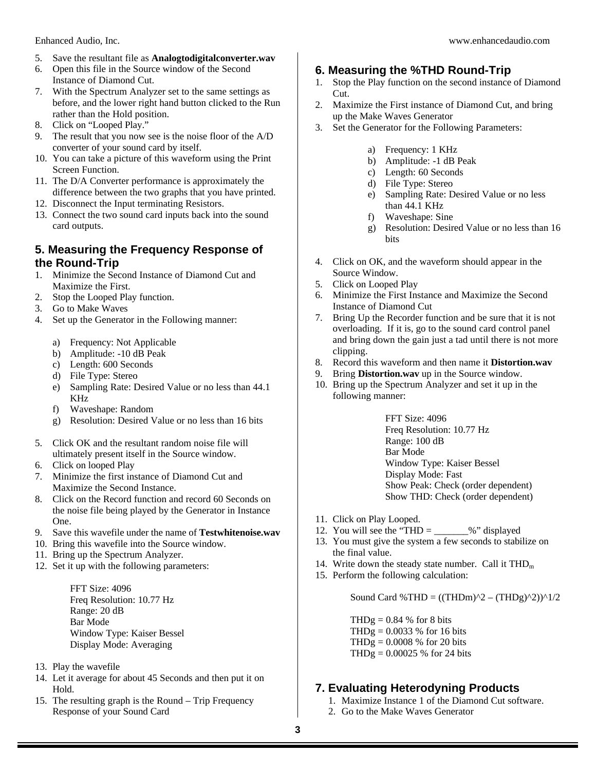- 5. Save the resultant file as **Analogtodigitalconverter.wav**
- 6. Open this file in the Source window of the Second Instance of Diamond Cut.
- 7. With the Spectrum Analyzer set to the same settings as before, and the lower right hand button clicked to the Run rather than the Hold position.
- 8. Click on "Looped Play."
- 9. The result that you now see is the noise floor of the A/D converter of your sound card by itself.
- 10. You can take a picture of this waveform using the Print Screen Function.
- 11. The D/A Converter performance is approximately the difference between the two graphs that you have printed.
- 12. Disconnect the Input terminating Resistors.
- 13. Connect the two sound card inputs back into the sound card outputs.

#### **5. Measuring the Frequency Response of the Round-Trip**

- 1. Minimize the Second Instance of Diamond Cut and Maximize the First.
- 2. Stop the Looped Play function.
- 3. Go to Make Waves
- 4. Set up the Generator in the Following manner:
	- a) Frequency: Not Applicable
	- b) Amplitude: -10 dB Peak
	- c) Length: 600 Seconds
	- d) File Type: Stereo
	- e) Sampling Rate: Desired Value or no less than 44.1 KHz
	- f) Waveshape: Random
	- g) Resolution: Desired Value or no less than 16 bits
- 5. Click OK and the resultant random noise file will ultimately present itself in the Source window.
- 6. Click on looped Play
- 7. Minimize the first instance of Diamond Cut and Maximize the Second Instance.
- 8. Click on the Record function and record 60 Seconds on the noise file being played by the Generator in Instance One.
- 9. Save this wavefile under the name of **Testwhitenoise.wav**
- 10. Bring this wavefile into the Source window.
- 11. Bring up the Spectrum Analyzer.
- 12. Set it up with the following parameters:

FFT Size: 4096 Freq Resolution: 10.77 Hz Range: 20 dB Bar Mode Window Type: Kaiser Bessel Display Mode: Averaging

- 13. Play the wavefile
- 14. Let it average for about 45 Seconds and then put it on Hold.
- 15. The resulting graph is the Round Trip Frequency Response of your Sound Card

# **6. Measuring the %THD Round-Trip**

- 1. Stop the Play function on the second instance of Diamond Cut.
- 2. Maximize the First instance of Diamond Cut, and bring up the Make Waves Generator
- 3. Set the Generator for the Following Parameters:
	- a) Frequency: 1 KHz
	- b) Amplitude: -1 dB Peak
	- c) Length: 60 Seconds
	- d) File Type: Stereo
	- e) Sampling Rate: Desired Value or no less than 44.1 KHz
	- f) Waveshape: Sine
	- g) Resolution: Desired Value or no less than 16 bits
- 4. Click on OK, and the waveform should appear in the Source Window.
- 5. Click on Looped Play
- 6. Minimize the First Instance and Maximize the Second Instance of Diamond Cut
- 7. Bring Up the Recorder function and be sure that it is not overloading. If it is, go to the sound card control panel and bring down the gain just a tad until there is not more clipping.
- 8. Record this waveform and then name it **Distortion.wav**
- 9. Bring **Distortion.wav** up in the Source window.
- 10. Bring up the Spectrum Analyzer and set it up in the following manner:

FFT Size: 4096 Freq Resolution: 10.77 Hz Range: 100 dB Bar Mode Window Type: Kaiser Bessel Display Mode: Fast Show Peak: Check (order dependent) Show THD: Check (order dependent)

- 11. Click on Play Looped.
- 12. You will see the "THD =  $\_\_\_\_\_\_$ %" displayed
- 13. You must give the system a few seconds to stabilize on the final value.
- 14. Write down the steady state number. Call it  $THD<sub>m</sub>$
- 15. Perform the following calculation:

Sound Card %THD =  $((THDm)^2 - (THDg)^2)^1/2$ 

THDg =  $0.84\%$  for 8 bits  $THDg = 0.0033 %$  for 16 bits  $THDg = 0.0008 %$  for 20 bits THDg = 0.00025 % for 24 bits

# **7. Evaluating Heterodyning Products**

- 1. Maximize Instance 1 of the Diamond Cut software.
- 2. Go to the Make Waves Generator